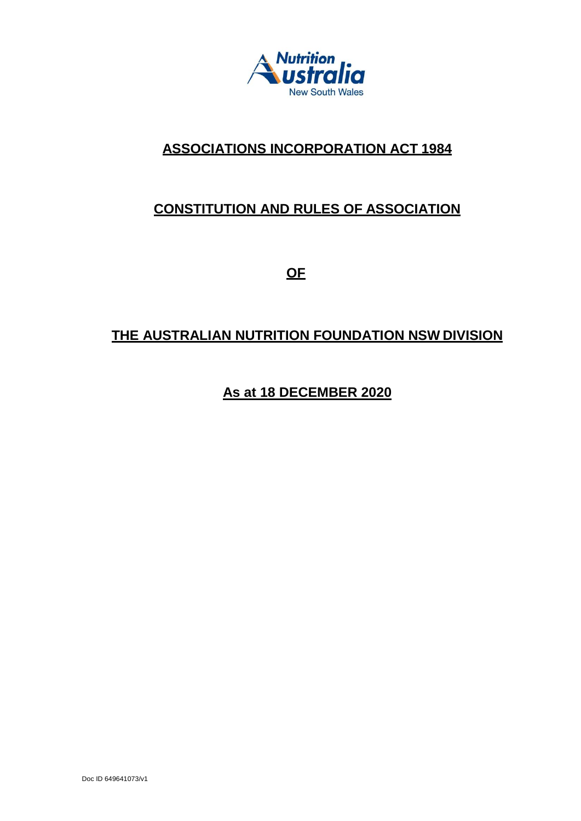

# **ASSOCIATIONS INCORPORATION ACT 1984**

# **CONSTITUTION AND RULES OF ASSOCIATION**

**OF**

# **THE AUSTRALIAN NUTRITION FOUNDATION NSW DIVISION**

**As at 18 DECEMBER 2020**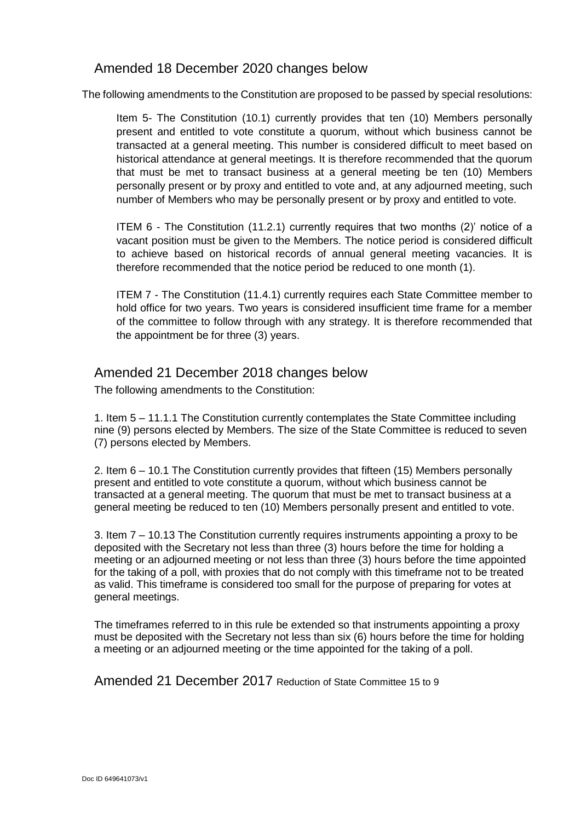# Amended 18 December 2020 changes below

The following amendments to the Constitution are proposed to be passed by special resolutions:

Item 5- The Constitution (10.1) currently provides that ten (10) Members personally present and entitled to vote constitute a quorum, without which business cannot be transacted at a general meeting. This number is considered difficult to meet based on historical attendance at general meetings. It is therefore recommended that the quorum that must be met to transact business at a general meeting be ten (10) Members personally present or by proxy and entitled to vote and, at any adjourned meeting, such number of Members who may be personally present or by proxy and entitled to vote.

ITEM 6 - The Constitution (11.2.1) currently requires that two months (2)' notice of a vacant position must be given to the Members. The notice period is considered difficult to achieve based on historical records of annual general meeting vacancies. It is therefore recommended that the notice period be reduced to one month (1).

ITEM 7 - The Constitution (11.4.1) currently requires each State Committee member to hold office for two years. Two years is considered insufficient time frame for a member of the committee to follow through with any strategy. It is therefore recommended that the appointment be for three (3) years.

# Amended 21 December 2018 changes below

The following amendments to the Constitution:

1. Item 5 – 11.1.1 The Constitution currently contemplates the State Committee including nine (9) persons elected by Members. The size of the State Committee is reduced to seven (7) persons elected by Members.

2. Item 6 – 10.1 The Constitution currently provides that fifteen (15) Members personally present and entitled to vote constitute a quorum, without which business cannot be transacted at a general meeting. The quorum that must be met to transact business at a general meeting be reduced to ten (10) Members personally present and entitled to vote.

3. Item 7 – 10.13 The Constitution currently requires instruments appointing a proxy to be deposited with the Secretary not less than three (3) hours before the time for holding a meeting or an adjourned meeting or not less than three (3) hours before the time appointed for the taking of a poll, with proxies that do not comply with this timeframe not to be treated as valid. This timeframe is considered too small for the purpose of preparing for votes at general meetings.

The timeframes referred to in this rule be extended so that instruments appointing a proxy must be deposited with the Secretary not less than six (6) hours before the time for holding a meeting or an adjourned meeting or the time appointed for the taking of a poll.

Amended 21 December 2017 Reduction of State Committee 15 to 9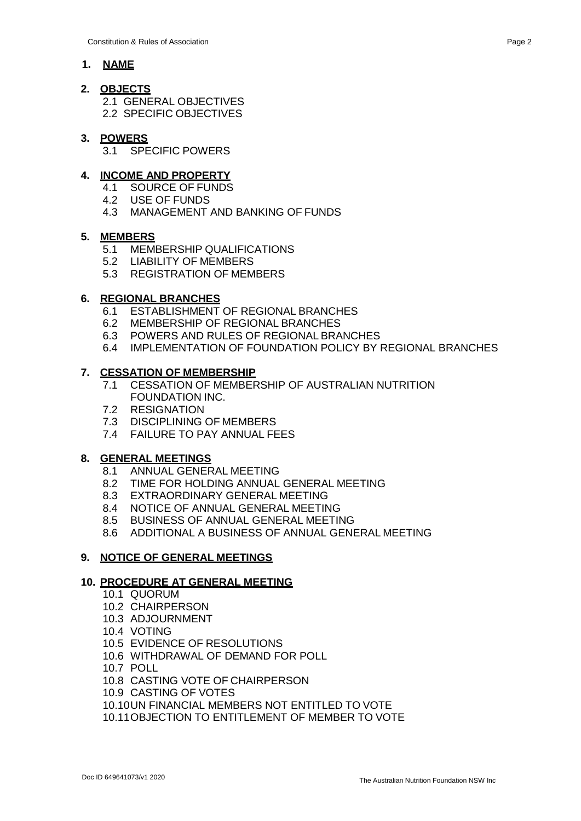# **1. NAME**

# **2. OBJECTS**

- 2.1 GENERAL OBJECTIVES
- 2.2 SPECIFIC OBJECTIVES

# **3. POWERS**

3.1 SPECIFIC POWERS

# **4. INCOME AND PROPERTY**

- 4.1 SOURCE OF FUNDS
- 4.2 USE OF FUNDS
- 4.3 MANAGEMENT AND BANKING OF FUNDS

# **5. MEMBERS**

- 5.1 MEMBERSHIP QUALIFICATIONS
- 5.2 LIABILITY OF MEMBERS
- 5.3 REGISTRATION OF MEMBERS

# **6. REGIONAL BRANCHES**

- 6.1 ESTABLISHMENT OF REGIONAL BRANCHES
- 6.2 MEMBERSHIP OF REGIONAL BRANCHES
- 6.3 POWERS AND RULES OF REGIONAL BRANCHES
- 6.4 IMPLEMENTATION OF FOUNDATION POLICY BY REGIONAL BRANCHES

# **7. CESSATION OF MEMBERSHIP**

- 7.1 CESSATION OF MEMBERSHIP OF AUSTRALIAN NUTRITION FOUNDATION INC.
- 7.2 RESIGNATION
- 7.3 DISCIPLINING OF MEMBERS
- 7.4 FAILURE TO PAY ANNUAL FEES

# **8. GENERAL MEETINGS**

- 8.1 ANNUAL GENERAL MEETING
- 8.2 TIME FOR HOLDING ANNUAL GENERAL MEETING
- 8.3 EXTRAORDINARY GENERAL MEETING
- 8.4 NOTICE OF ANNUAL GENERAL MEETING
- 8.5 BUSINESS OF ANNUAL GENERAL MEETING
- 8.6 ADDITIONAL A BUSINESS OF ANNUAL GENERAL MEETING

# **9. NOTICE OF GENERAL MEETINGS**

# **10. PROCEDURE AT GENERAL MEETING**

- 10.1 QUORUM
- 10.2 CHAIRPERSON
- 10.3 ADJOURNMENT
- 10.4 VOTING
- 10.5 EVIDENCE OF RESOLUTIONS
- 10.6 WITHDRAWAL OF DEMAND FOR POLL
- 10.7 POLL
- 10.8 CASTING VOTE OF CHAIRPERSON
- 10.9 CASTING OF VOTES
- 10.10UN FINANCIAL MEMBERS NOT ENTITLED TO VOTE
- 10.11OBJECTION TO ENTITLEMENT OF MEMBER TO VOTE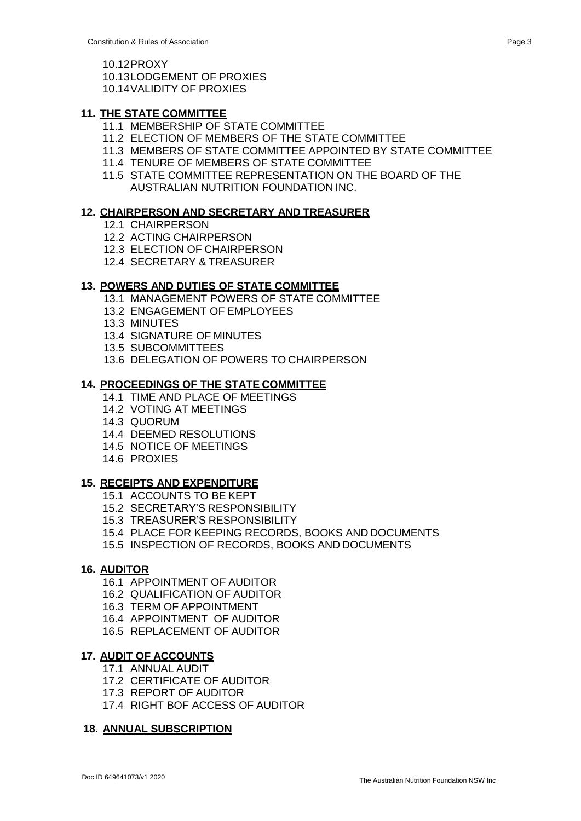- 10.13LODGEMENT OF PROXIES
- 10.14VALIDITY OF PROXIES

# **11. THE STATE COMMITTEE**

- 11.1 MEMBERSHIP OF STATE COMMITTEE
- 11.2 ELECTION OF MEMBERS OF THE STATE COMMITTEE
- 11.3 MEMBERS OF STATE COMMITTEE APPOINTED BY STATE COMMITTEE
- 11.4 TENURE OF MEMBERS OF STATE COMMITTEE
- 11.5 STATE COMMITTEE REPRESENTATION ON THE BOARD OF THE AUSTRALIAN NUTRITION FOUNDATION INC.

# **12. CHAIRPERSON AND SECRETARY AND TREASURER**

- 12.1 CHAIRPERSON
- 12.2 ACTING CHAIRPERSON
- 12.3 ELECTION OF CHAIRPERSON
- 12.4 SECRETARY & TREASURER

# **13. POWERS AND DUTIES OF STATE COMMITTEE**

- 13.1 MANAGEMENT POWERS OF STATE COMMITTEE
- 13.2 ENGAGEMENT OF EMPLOYEES
- 13.3 MINUTES
- 13.4 SIGNATURE OF MINUTES
- 13.5 SUBCOMMITTEES
- 13.6 DELEGATION OF POWERS TO CHAIRPERSON

# **14. PROCEEDINGS OF THE STATE COMMITTEE**

- 14.1 TIME AND PLACE OF MEETINGS
- 14.2 VOTING AT MEETINGS
- 14.3 QUORUM
- 14.4 DEEMED RESOLUTIONS
- 14.5 NOTICE OF MEETINGS
- 14.6 PROXIES

# **15. RECEIPTS AND EXPENDITURE**

- 15.1 ACCOUNTS TO BE KEPT
- 15.2 SECRETARY'S RESPONSIBILITY
- 15.3 TREASURER'S RESPONSIBILITY
- 15.4 PLACE FOR KEEPING RECORDS, BOOKS AND DOCUMENTS
- 15.5 INSPECTION OF RECORDS, BOOKS AND DOCUMENTS

# **16. AUDITOR**

- 16.1 APPOINTMENT OF AUDITOR
- 16.2 QUALIFICATION OF AUDITOR
- 16.3 TERM OF APPOINTMENT
- 16.4 APPOINTMENT OF AUDITOR
- 16.5 REPLACEMENT OF AUDITOR

# **17. AUDIT OF ACCOUNTS**

- 17.1 ANNUAL AUDIT
- 17.2 CERTIFICATE OF AUDITOR
- 17.3 REPORT OF AUDITOR
- 17.4 RIGHT BOF ACCESS OF AUDITOR

#### **18. ANNUAL SUBSCRIPTION**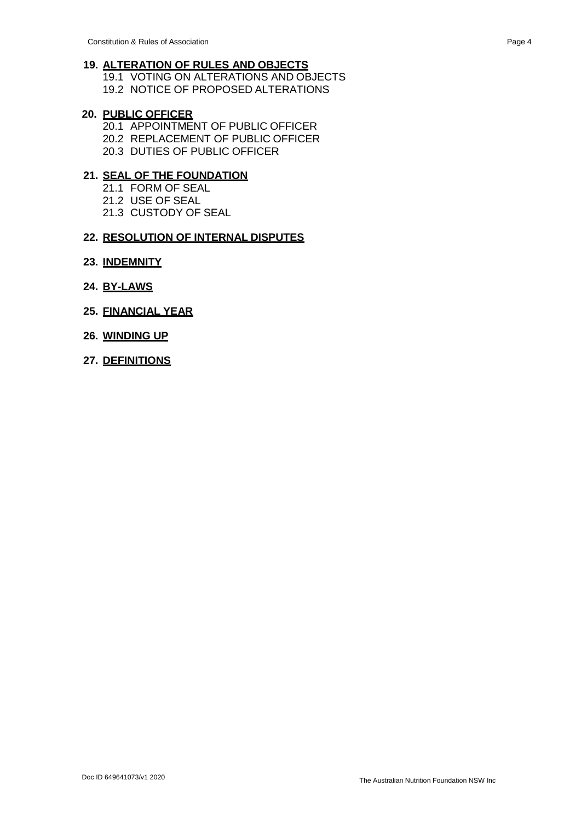# **19. ALTERATION OF RULES AND OBJECTS**

19.1 VOTING ON ALTERATIONS AND OBJECTS 19.2 NOTICE OF PROPOSED ALTERATIONS

# **20. PUBLIC OFFICER**

- 20.1 APPOINTMENT OF PUBLIC OFFICER 20.2 REPLACEMENT OF PUBLIC OFFICER
- 20.3 DUTIES OF PUBLIC OFFICER

# **21. SEAL OF THE FOUNDATION**

- 21.1 FORM OF SEAL
- 21.2 USE OF SEAL
- 21.3 CUSTODY OF SEAL

# **22. RESOLUTION OF INTERNAL DISPUTES**

- **23. INDEMNITY**
- **24. BY-LAWS**
- **25. FINANCIAL YEAR**
- **26. WINDING UP**
- **27. DEFINITIONS**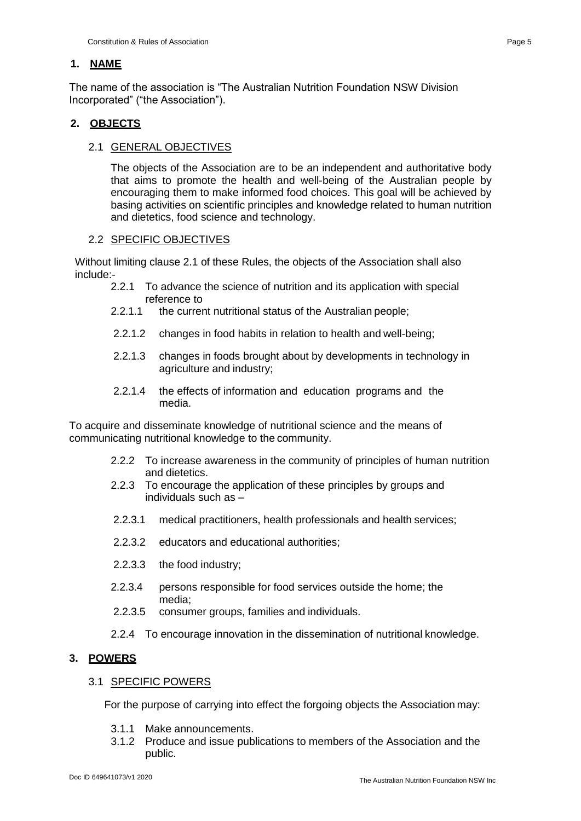# **1. NAME**

The name of the association is "The Australian Nutrition Foundation NSW Division Incorporated" ("the Association").

# **2. OBJECTS**

# 2.1 GENERAL OBJECTIVES

The objects of the Association are to be an independent and authoritative body that aims to promote the health and well-being of the Australian people by encouraging them to make informed food choices. This goal will be achieved by basing activities on scientific principles and knowledge related to human nutrition and dietetics, food science and technology.

#### 2.2 SPECIFIC OBJECTIVES

Without limiting clause 2.1 of these Rules, the objects of the Association shall also include:-

- 2.2.1 To advance the science of nutrition and its application with special reference to
- 2.2.1.1 the current nutritional status of the Australian people;
- 2.2.1.2 changes in food habits in relation to health and well-being;
- 2.2.1.3 changes in foods brought about by developments in technology in agriculture and industry;
- 2.2.1.4 the effects of information and education programs and the media.

To acquire and disseminate knowledge of nutritional science and the means of communicating nutritional knowledge to the community.

- 2.2.2 To increase awareness in the community of principles of human nutrition and dietetics.
- 2.2.3 To encourage the application of these principles by groups and individuals such as –
- 2.2.3.1 medical practitioners, health professionals and health services;
- 2.2.3.2 educators and educational authorities;
- 2.2.3.3 the food industry;
- 2.2.3.4 persons responsible for food services outside the home; the media;
- 2.2.3.5 consumer groups, families and individuals.
- 2.2.4 To encourage innovation in the dissemination of nutritional knowledge.

# **3. POWERS**

#### 3.1 SPECIFIC POWERS

For the purpose of carrying into effect the forgoing objects the Association may:

- 3.1.1 Make announcements.
- 3.1.2 Produce and issue publications to members of the Association and the public.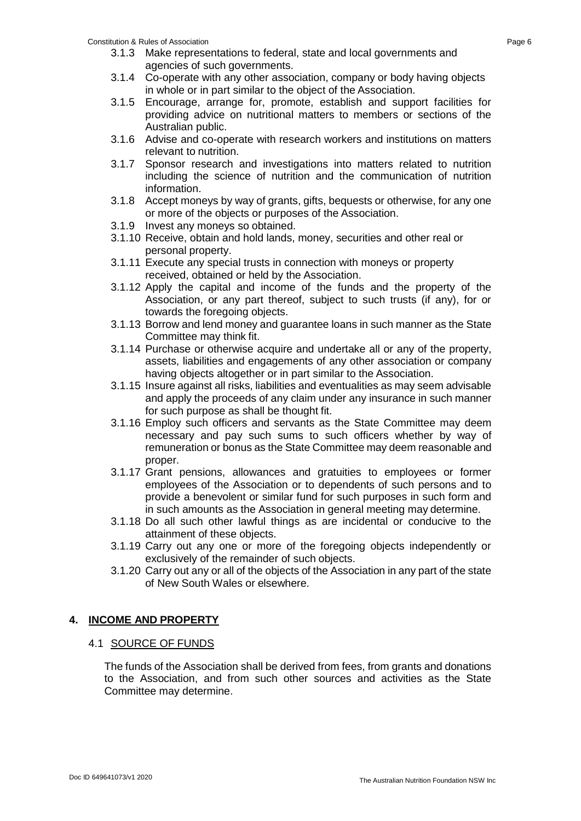#### Constitution & Rules of Association Page 6

- 3.1.3 Make representations to federal, state and local governments and agencies of such governments.
- 3.1.4 Co-operate with any other association, company or body having objects in whole or in part similar to the object of the Association.
- 3.1.5 Encourage, arrange for, promote, establish and support facilities for providing advice on nutritional matters to members or sections of the Australian public.
- 3.1.6 Advise and co-operate with research workers and institutions on matters relevant to nutrition.
- 3.1.7 Sponsor research and investigations into matters related to nutrition including the science of nutrition and the communication of nutrition information.
- 3.1.8 Accept moneys by way of grants, gifts, bequests or otherwise, for any one or more of the objects or purposes of the Association.
- 3.1.9 Invest any moneys so obtained.
- 3.1.10 Receive, obtain and hold lands, money, securities and other real or personal property.
- 3.1.11 Execute any special trusts in connection with moneys or property received, obtained or held by the Association.
- 3.1.12 Apply the capital and income of the funds and the property of the Association, or any part thereof, subject to such trusts (if any), for or towards the foregoing objects.
- 3.1.13 Borrow and lend money and guarantee loans in such manner as the State Committee may think fit.
- 3.1.14 Purchase or otherwise acquire and undertake all or any of the property, assets, liabilities and engagements of any other association or company having objects altogether or in part similar to the Association.
- 3.1.15 Insure against all risks, liabilities and eventualities as may seem advisable and apply the proceeds of any claim under any insurance in such manner for such purpose as shall be thought fit.
- 3.1.16 Employ such officers and servants as the State Committee may deem necessary and pay such sums to such officers whether by way of remuneration or bonus as the State Committee may deem reasonable and proper.
- 3.1.17 Grant pensions, allowances and gratuities to employees or former employees of the Association or to dependents of such persons and to provide a benevolent or similar fund for such purposes in such form and in such amounts as the Association in general meeting may determine.
- 3.1.18 Do all such other lawful things as are incidental or conducive to the attainment of these objects.
- 3.1.19 Carry out any one or more of the foregoing objects independently or exclusively of the remainder of such objects.
- 3.1.20 Carry out any or all of the objects of the Association in any part of the state of New South Wales or elsewhere.

# **4. INCOME AND PROPERTY**

# 4.1 SOURCE OF FUNDS

The funds of the Association shall be derived from fees, from grants and donations to the Association, and from such other sources and activities as the State Committee may determine.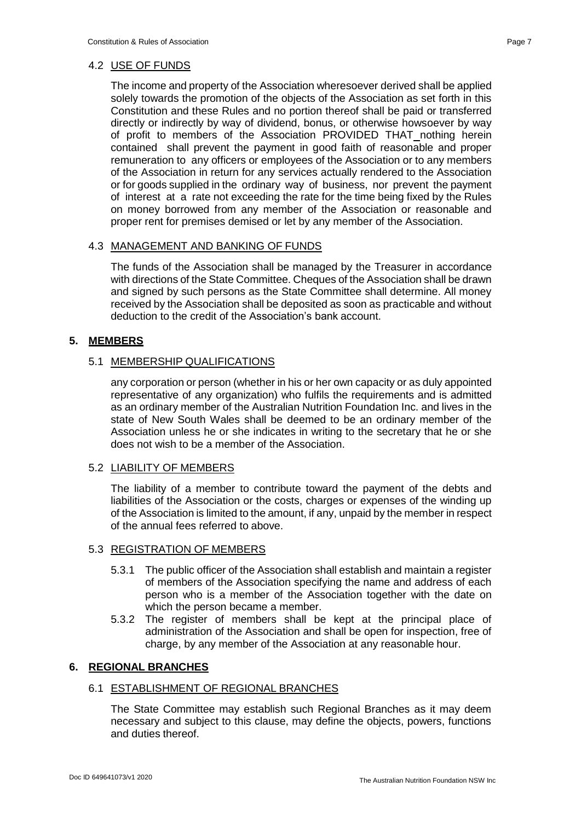The income and property of the Association wheresoever derived shall be applied solely towards the promotion of the objects of the Association as set forth in this Constitution and these Rules and no portion thereof shall be paid or transferred directly or indirectly by way of dividend, bonus, or otherwise howsoever by way of profit to members of the Association PROVIDED THAT nothing herein contained shall prevent the payment in good faith of reasonable and proper remuneration to any officers or employees of the Association or to any members of the Association in return for any services actually rendered to the Association or for goods supplied in the ordinary way of business, nor prevent the payment of interest at a rate not exceeding the rate for the time being fixed by the Rules on money borrowed from any member of the Association or reasonable and proper rent for premises demised or let by any member of the Association.

# 4.3 MANAGEMENT AND BANKING OF FUNDS

The funds of the Association shall be managed by the Treasurer in accordance with directions of the State Committee. Cheques of the Association shall be drawn and signed by such persons as the State Committee shall determine. All money received by the Association shall be deposited as soon as practicable and without deduction to the credit of the Association's bank account.

# **5. MEMBERS**

# 5.1 MEMBERSHIP QUALIFICATIONS

any corporation or person (whether in his or her own capacity or as duly appointed representative of any organization) who fulfils the requirements and is admitted as an ordinary member of the Australian Nutrition Foundation Inc. and lives in the state of New South Wales shall be deemed to be an ordinary member of the Association unless he or she indicates in writing to the secretary that he or she does not wish to be a member of the Association.

# 5.2 LIABILITY OF MEMBERS

The liability of a member to contribute toward the payment of the debts and liabilities of the Association or the costs, charges or expenses of the winding up of the Association is limited to the amount, if any, unpaid by the member in respect of the annual fees referred to above.

# 5.3 REGISTRATION OF MEMBERS

- 5.3.1 The public officer of the Association shall establish and maintain a register of members of the Association specifying the name and address of each person who is a member of the Association together with the date on which the person became a member.
- 5.3.2 The register of members shall be kept at the principal place of administration of the Association and shall be open for inspection, free of charge, by any member of the Association at any reasonable hour.

# **6. REGIONAL BRANCHES**

# 6.1 ESTABLISHMENT OF REGIONAL BRANCHES

The State Committee may establish such Regional Branches as it may deem necessary and subject to this clause, may define the objects, powers, functions and duties thereof.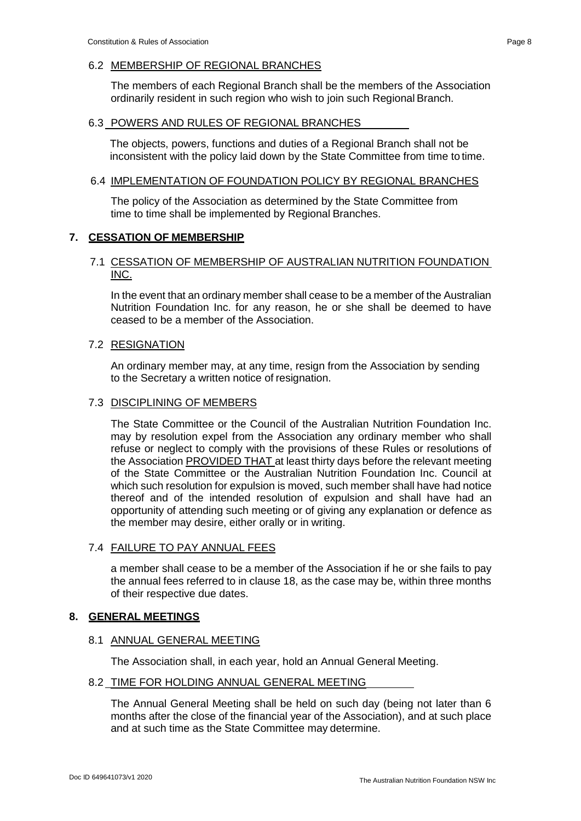#### 6.2 MEMBERSHIP OF REGIONAL BRANCHES

The members of each Regional Branch shall be the members of the Association ordinarily resident in such region who wish to join such Regional Branch.

#### 6.3 POWERS AND RULES OF REGIONAL BRANCHES

The objects, powers, functions and duties of a Regional Branch shall not be inconsistent with the policy laid down by the State Committee from time to time.

# 6.4 IMPLEMENTATION OF FOUNDATION POLICY BY REGIONAL BRANCHES

The policy of the Association as determined by the State Committee from time to time shall be implemented by Regional Branches.

# **7. CESSATION OF MEMBERSHIP**

# 7.1 CESSATION OF MEMBERSHIP OF AUSTRALIAN NUTRITION FOUNDATION INC.

In the event that an ordinary member shall cease to be a member of the Australian Nutrition Foundation Inc. for any reason, he or she shall be deemed to have ceased to be a member of the Association.

# 7.2 RESIGNATION

An ordinary member may, at any time, resign from the Association by sending to the Secretary a written notice of resignation.

#### 7.3 DISCIPLINING OF MEMBERS

The State Committee or the Council of the Australian Nutrition Foundation Inc. may by resolution expel from the Association any ordinary member who shall refuse or neglect to comply with the provisions of these Rules or resolutions of the Association **PROVIDED THAT** at least thirty days before the relevant meeting of the State Committee or the Australian Nutrition Foundation Inc. Council at which such resolution for expulsion is moved, such member shall have had notice thereof and of the intended resolution of expulsion and shall have had an opportunity of attending such meeting or of giving any explanation or defence as the member may desire, either orally or in writing.

# 7.4 FAILURE TO PAY ANNUAL FEES

a member shall cease to be a member of the Association if he or she fails to pay the annual fees referred to in clause 18, as the case may be, within three months of their respective due dates.

# **8. GENERAL MEETINGS**

#### 8.1 ANNUAL GENERAL MEETING

The Association shall, in each year, hold an Annual General Meeting.

#### 8.2 TIME FOR HOLDING ANNUAL GENERAL MEETING

The Annual General Meeting shall be held on such day (being not later than 6 months after the close of the financial year of the Association), and at such place and at such time as the State Committee may determine.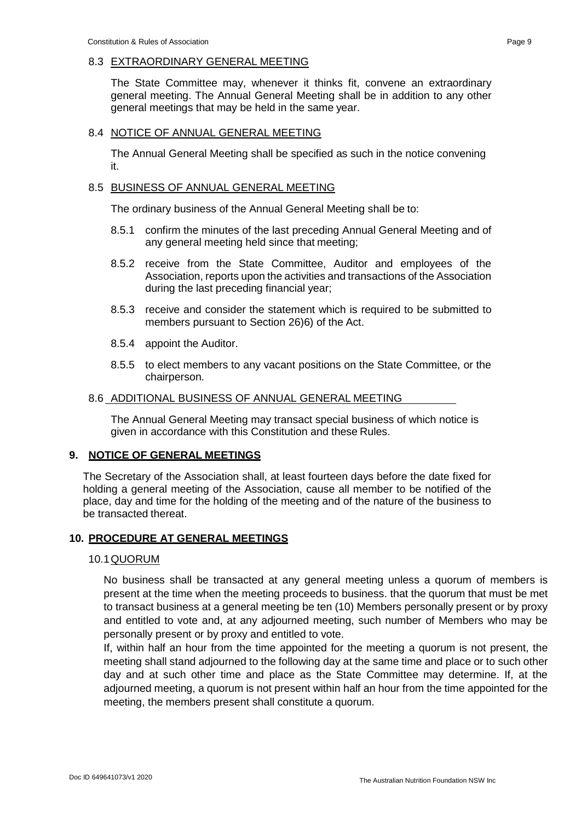The State Committee may, whenever it thinks fit, convene an extraordinary general meeting. The Annual General Meeting shall be in addition to any other general meetings that may be held in the same year.

# 8.4 NOTICE OF ANNUAL GENERAL MEETING

The Annual General Meeting shall be specified as such in the notice convening it.

# 8.5 BUSINESS OF ANNUAL GENERAL MEETING

The ordinary business of the Annual General Meeting shall be to:

- 8.5.1 confirm the minutes of the last preceding Annual General Meeting and of any general meeting held since that meeting;
- 8.5.2 receive from the State Committee, Auditor and employees of the Association, reports upon the activities and transactions of the Association during the last preceding financial year;
- 8.5.3 receive and consider the statement which is required to be submitted to members pursuant to Section 26)6) of the Act.
- 8.5.4 appoint the Auditor.
- 8.5.5 to elect members to any vacant positions on the State Committee, or the chairperson.

# 8.6 ADDITIONAL BUSINESS OF ANNUAL GENERAL MEETING

The Annual General Meeting may transact special business of which notice is given in accordance with this Constitution and these Rules.

# **9. NOTICE OF GENERAL MEETINGS**

The Secretary of the Association shall, at least fourteen days before the date fixed for holding a general meeting of the Association, cause all member to be notified of the place, day and time for the holding of the meeting and of the nature of the business to be transacted thereat.

# **10. PROCEDURE AT GENERAL MEETINGS**

# 10.1QUORUM

No business shall be transacted at any general meeting unless a quorum of members is present at the time when the meeting proceeds to business. that the quorum that must be met to transact business at a general meeting be ten (10) Members personally present or by proxy and entitled to vote and, at any adjourned meeting, such number of Members who may be personally present or by proxy and entitled to vote.

If, within half an hour from the time appointed for the meeting a quorum is not present, the meeting shall stand adjourned to the following day at the same time and place or to such other day and at such other time and place as the State Committee may determine. If, at the adjourned meeting, a quorum is not present within half an hour from the time appointed for the meeting, the members present shall constitute a quorum.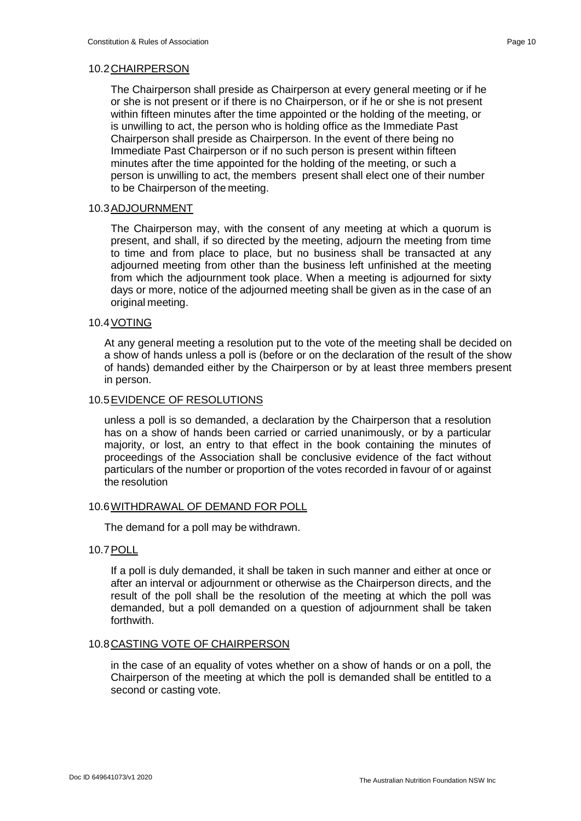The Chairperson shall preside as Chairperson at every general meeting or if he or she is not present or if there is no Chairperson, or if he or she is not present within fifteen minutes after the time appointed or the holding of the meeting, or is unwilling to act, the person who is holding office as the Immediate Past Chairperson shall preside as Chairperson. In the event of there being no Immediate Past Chairperson or if no such person is present within fifteen minutes after the time appointed for the holding of the meeting, or such a person is unwilling to act, the members present shall elect one of their number to be Chairperson of the meeting.

# 10.3ADJOURNMENT

The Chairperson may, with the consent of any meeting at which a quorum is present, and shall, if so directed by the meeting, adjourn the meeting from time to time and from place to place, but no business shall be transacted at any adjourned meeting from other than the business left unfinished at the meeting from which the adjournment took place. When a meeting is adjourned for sixty days or more, notice of the adjourned meeting shall be given as in the case of an original meeting.

# 10.4VOTING

At any general meeting a resolution put to the vote of the meeting shall be decided on a show of hands unless a poll is (before or on the declaration of the result of the show of hands) demanded either by the Chairperson or by at least three members present in person.

# 10.5EVIDENCE OF RESOLUTIONS

unless a poll is so demanded, a declaration by the Chairperson that a resolution has on a show of hands been carried or carried unanimously, or by a particular majority, or lost, an entry to that effect in the book containing the minutes of proceedings of the Association shall be conclusive evidence of the fact without particulars of the number or proportion of the votes recorded in favour of or against the resolution

#### 10.6WITHDRAWAL OF DEMAND FOR POLL

The demand for a poll may be withdrawn.

#### 10.7POLL

If a poll is duly demanded, it shall be taken in such manner and either at once or after an interval or adjournment or otherwise as the Chairperson directs, and the result of the poll shall be the resolution of the meeting at which the poll was demanded, but a poll demanded on a question of adjournment shall be taken forthwith.

#### 10.8CASTING VOTE OF CHAIRPERSON

in the case of an equality of votes whether on a show of hands or on a poll, the Chairperson of the meeting at which the poll is demanded shall be entitled to a second or casting vote.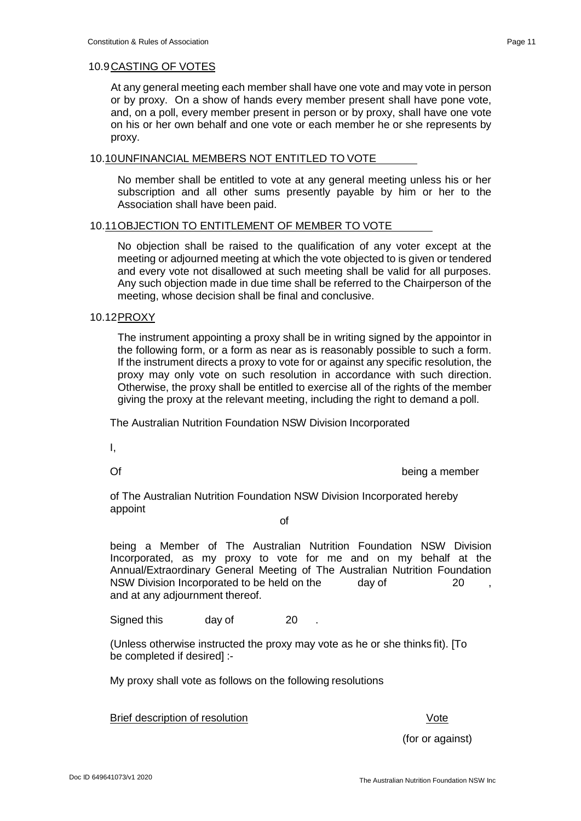At any general meeting each member shall have one vote and may vote in person or by proxy. On a show of hands every member present shall have pone vote, and, on a poll, every member present in person or by proxy, shall have one vote on his or her own behalf and one vote or each member he or she represents by

#### 10.10UNFINANCIAL MEMBERS NOT ENTITLED TO VOTE

No member shall be entitled to vote at any general meeting unless his or her subscription and all other sums presently payable by him or her to the Association shall have been paid.

# 10.11OBJECTION TO ENTITLEMENT OF MEMBER TO VOTE

No objection shall be raised to the qualification of any voter except at the meeting or adjourned meeting at which the vote objected to is given or tendered and every vote not disallowed at such meeting shall be valid for all purposes. Any such objection made in due time shall be referred to the Chairperson of the meeting, whose decision shall be final and conclusive.

#### 10.12PROXY

proxy.

The instrument appointing a proxy shall be in writing signed by the appointor in the following form, or a form as near as is reasonably possible to such a form. If the instrument directs a proxy to vote for or against any specific resolution, the proxy may only vote on such resolution in accordance with such direction. Otherwise, the proxy shall be entitled to exercise all of the rights of the member giving the proxy at the relevant meeting, including the right to demand a poll.

The Australian Nutrition Foundation NSW Division Incorporated

I,

Of being a member

of The Australian Nutrition Foundation NSW Division Incorporated hereby appoint

# of

being a Member of The Australian Nutrition Foundation NSW Division Incorporated, as my proxy to vote for me and on my behalf at the Annual/Extraordinary General Meeting of The Australian Nutrition Foundation NSW Division Incorporated to be held on the day of 20 and at any adjournment thereof.

Signed this day of 20

(Unless otherwise instructed the proxy may vote as he or she thinks fit). [To be completed if desired] :-

My proxy shall vote as follows on the following resolutions

Brief description of resolution **Vote** 

(for or against)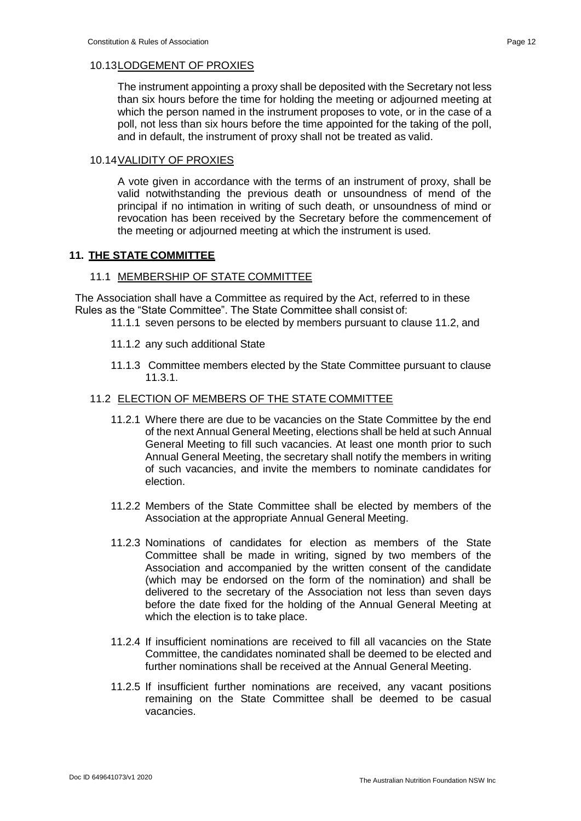The instrument appointing a proxy shall be deposited with the Secretary not less than six hours before the time for holding the meeting or adjourned meeting at which the person named in the instrument proposes to vote, or in the case of a poll, not less than six hours before the time appointed for the taking of the poll, and in default, the instrument of proxy shall not be treated as valid.

# 10.14VALIDITY OF PROXIES

A vote given in accordance with the terms of an instrument of proxy, shall be valid notwithstanding the previous death or unsoundness of mend of the principal if no intimation in writing of such death, or unsoundness of mind or revocation has been received by the Secretary before the commencement of the meeting or adjourned meeting at which the instrument is used.

# **11. THE STATE COMMITTEE**

# 11.1 MEMBERSHIP OF STATE COMMITTEE

The Association shall have a Committee as required by the Act, referred to in these Rules as the "State Committee". The State Committee shall consist of:

- 11.1.1 seven persons to be elected by members pursuant to clause 11.2, and
- 11.1.2 any such additional State
- 11.1.3 Committee members elected by the State Committee pursuant to clause 11.3.1.

# 11.2 ELECTION OF MEMBERS OF THE STATE COMMITTEE

- 11.2.1 Where there are due to be vacancies on the State Committee by the end of the next Annual General Meeting, elections shall be held at such Annual General Meeting to fill such vacancies. At least one month prior to such Annual General Meeting, the secretary shall notify the members in writing of such vacancies, and invite the members to nominate candidates for election.
- 11.2.2 Members of the State Committee shall be elected by members of the Association at the appropriate Annual General Meeting.
- 11.2.3 Nominations of candidates for election as members of the State Committee shall be made in writing, signed by two members of the Association and accompanied by the written consent of the candidate (which may be endorsed on the form of the nomination) and shall be delivered to the secretary of the Association not less than seven days before the date fixed for the holding of the Annual General Meeting at which the election is to take place.
- 11.2.4 If insufficient nominations are received to fill all vacancies on the State Committee, the candidates nominated shall be deemed to be elected and further nominations shall be received at the Annual General Meeting.
- 11.2.5 If insufficient further nominations are received, any vacant positions remaining on the State Committee shall be deemed to be casual vacancies.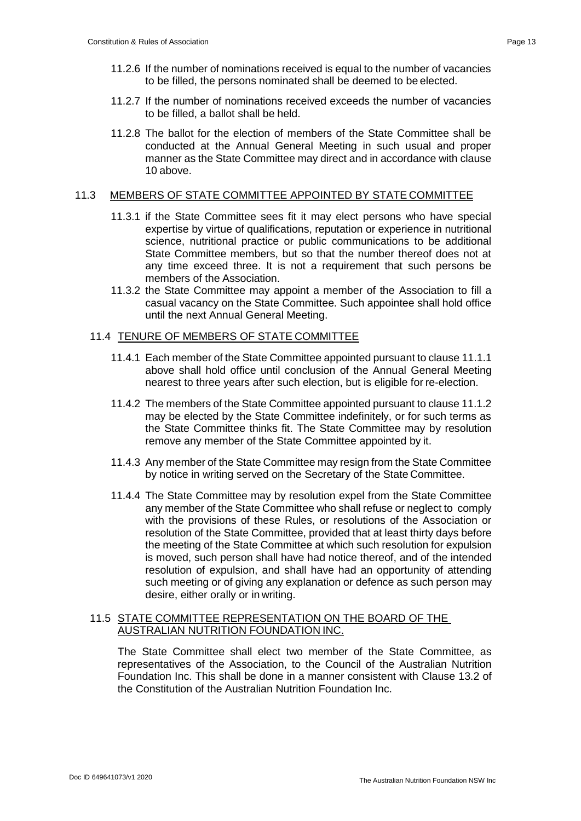- 11.2.6 If the number of nominations received is equal to the number of vacancies to be filled, the persons nominated shall be deemed to be elected.
- 11.2.7 If the number of nominations received exceeds the number of vacancies to be filled, a ballot shall be held.
- 11.2.8 The ballot for the election of members of the State Committee shall be conducted at the Annual General Meeting in such usual and proper manner as the State Committee may direct and in accordance with clause 10 above.

# 11.3 MEMBERS OF STATE COMMITTEE APPOINTED BY STATE COMMITTEE

- 11.3.1 if the State Committee sees fit it may elect persons who have special expertise by virtue of qualifications, reputation or experience in nutritional science, nutritional practice or public communications to be additional State Committee members, but so that the number thereof does not at any time exceed three. It is not a requirement that such persons be members of the Association.
- 11.3.2 the State Committee may appoint a member of the Association to fill a casual vacancy on the State Committee. Such appointee shall hold office until the next Annual General Meeting.

# 11.4 TENURE OF MEMBERS OF STATE COMMITTEE

- 11.4.1 Each member of the State Committee appointed pursuant to clause 11.1.1 above shall hold office until conclusion of the Annual General Meeting nearest to three years after such election, but is eligible for re-election.
- 11.4.2 The members of the State Committee appointed pursuant to clause 11.1.2 may be elected by the State Committee indefinitely, or for such terms as the State Committee thinks fit. The State Committee may by resolution remove any member of the State Committee appointed by it.
- 11.4.3 Any member of the State Committee may resign from the State Committee by notice in writing served on the Secretary of the State Committee.
- 11.4.4 The State Committee may by resolution expel from the State Committee any member of the State Committee who shall refuse or neglect to comply with the provisions of these Rules, or resolutions of the Association or resolution of the State Committee, provided that at least thirty days before the meeting of the State Committee at which such resolution for expulsion is moved, such person shall have had notice thereof, and of the intended resolution of expulsion, and shall have had an opportunity of attending such meeting or of giving any explanation or defence as such person may desire, either orally or in writing.

# 11.5 STATE COMMITTEE REPRESENTATION ON THE BOARD OF THE AUSTRALIAN NUTRITION FOUNDATION INC.

The State Committee shall elect two member of the State Committee, as representatives of the Association, to the Council of the Australian Nutrition Foundation Inc. This shall be done in a manner consistent with Clause 13.2 of the Constitution of the Australian Nutrition Foundation Inc.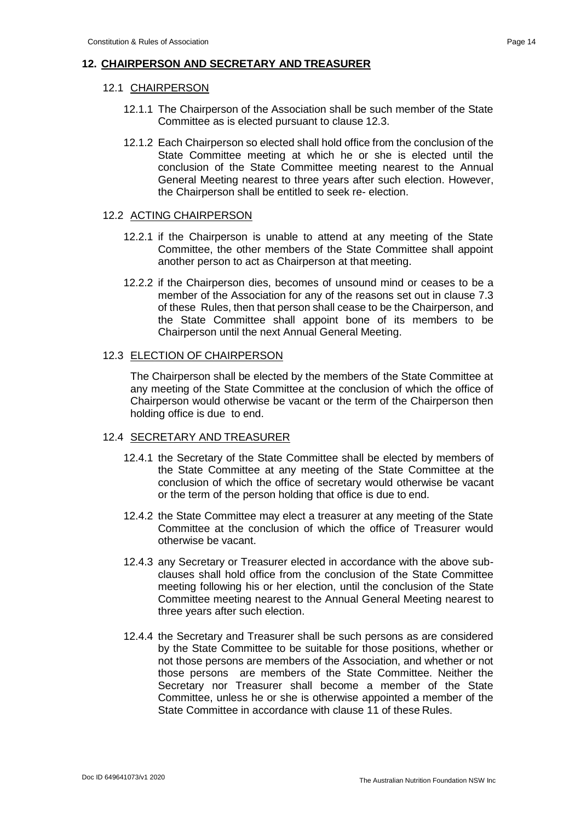# **12. CHAIRPERSON AND SECRETARY AND TREASURER**

# 12.1 CHAIRPERSON

- 12.1.1 The Chairperson of the Association shall be such member of the State Committee as is elected pursuant to clause 12.3.
- 12.1.2 Each Chairperson so elected shall hold office from the conclusion of the State Committee meeting at which he or she is elected until the conclusion of the State Committee meeting nearest to the Annual General Meeting nearest to three years after such election. However, the Chairperson shall be entitled to seek re- election.

# 12.2 ACTING CHAIRPERSON

- 12.2.1 if the Chairperson is unable to attend at any meeting of the State Committee, the other members of the State Committee shall appoint another person to act as Chairperson at that meeting.
- 12.2.2 if the Chairperson dies, becomes of unsound mind or ceases to be a member of the Association for any of the reasons set out in clause 7.3 of these Rules, then that person shall cease to be the Chairperson, and the State Committee shall appoint bone of its members to be Chairperson until the next Annual General Meeting.

# 12.3 ELECTION OF CHAIRPERSON

The Chairperson shall be elected by the members of the State Committee at any meeting of the State Committee at the conclusion of which the office of Chairperson would otherwise be vacant or the term of the Chairperson then holding office is due to end.

#### 12.4 SECRETARY AND TREASURER

- 12.4.1 the Secretary of the State Committee shall be elected by members of the State Committee at any meeting of the State Committee at the conclusion of which the office of secretary would otherwise be vacant or the term of the person holding that office is due to end.
- 12.4.2 the State Committee may elect a treasurer at any meeting of the State Committee at the conclusion of which the office of Treasurer would otherwise be vacant.
- 12.4.3 any Secretary or Treasurer elected in accordance with the above subclauses shall hold office from the conclusion of the State Committee meeting following his or her election, until the conclusion of the State Committee meeting nearest to the Annual General Meeting nearest to three years after such election.
- 12.4.4 the Secretary and Treasurer shall be such persons as are considered by the State Committee to be suitable for those positions, whether or not those persons are members of the Association, and whether or not those persons are members of the State Committee. Neither the Secretary nor Treasurer shall become a member of the State Committee, unless he or she is otherwise appointed a member of the State Committee in accordance with clause 11 of these Rules.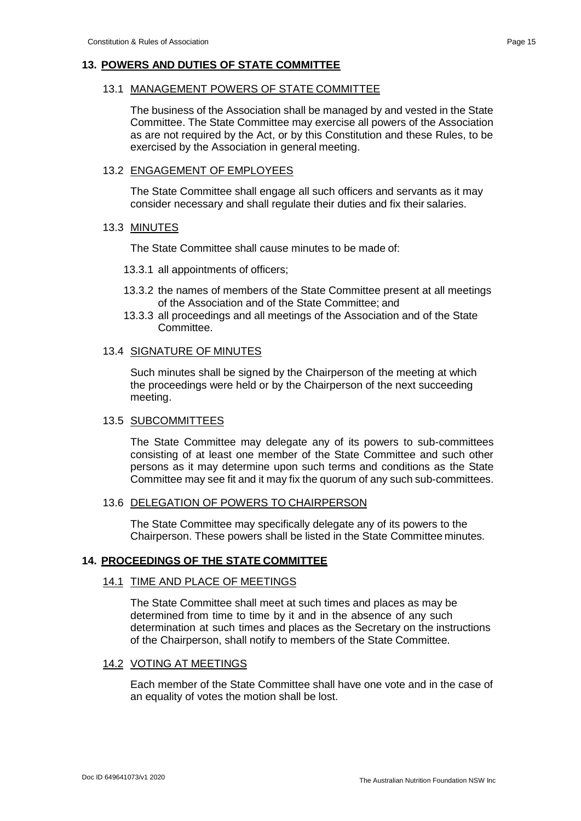# **13. POWERS AND DUTIES OF STATE COMMITTEE**

# 13.1 MANAGEMENT POWERS OF STATE COMMITTEE

The business of the Association shall be managed by and vested in the State Committee. The State Committee may exercise all powers of the Association as are not required by the Act, or by this Constitution and these Rules, to be exercised by the Association in general meeting.

#### 13.2 ENGAGEMENT OF EMPLOYEES

The State Committee shall engage all such officers and servants as it may consider necessary and shall regulate their duties and fix their salaries.

#### 13.3 MINUTES

The State Committee shall cause minutes to be made of:

- 13.3.1 all appointments of officers;
- 13.3.2 the names of members of the State Committee present at all meetings of the Association and of the State Committee; and
- 13.3.3 all proceedings and all meetings of the Association and of the State Committee.

#### 13.4 SIGNATURE OF MINUTES

Such minutes shall be signed by the Chairperson of the meeting at which the proceedings were held or by the Chairperson of the next succeeding meeting.

#### 13.5 SUBCOMMITTEES

The State Committee may delegate any of its powers to sub-committees consisting of at least one member of the State Committee and such other persons as it may determine upon such terms and conditions as the State Committee may see fit and it may fix the quorum of any such sub-committees.

# 13.6 DELEGATION OF POWERS TO CHAIRPERSON

The State Committee may specifically delegate any of its powers to the Chairperson. These powers shall be listed in the State Committee minutes.

#### **14. PROCEEDINGS OF THE STATE COMMITTEE**

# 14.1 TIME AND PLACE OF MEETINGS

The State Committee shall meet at such times and places as may be determined from time to time by it and in the absence of any such determination at such times and places as the Secretary on the instructions of the Chairperson, shall notify to members of the State Committee.

#### 14.2 VOTING AT MEETINGS

Each member of the State Committee shall have one vote and in the case of an equality of votes the motion shall be lost.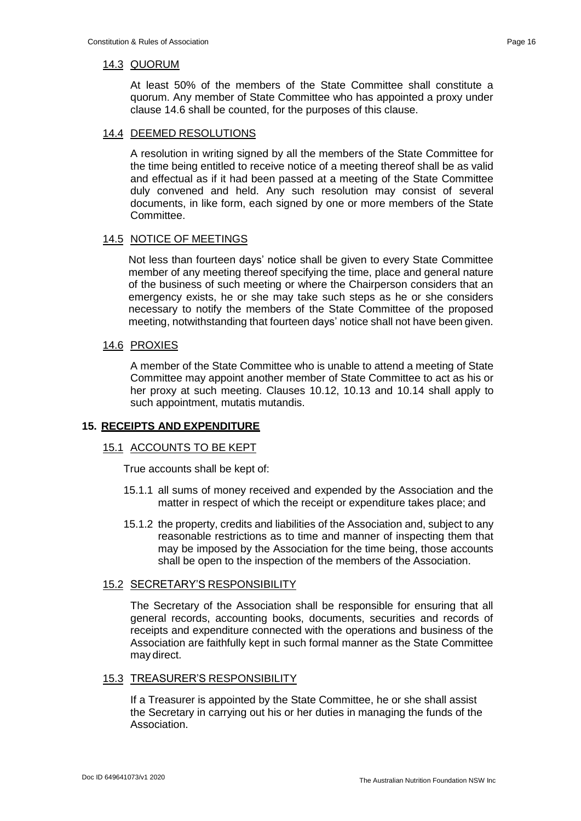At least 50% of the members of the State Committee shall constitute a quorum. Any member of State Committee who has appointed a proxy under clause 14.6 shall be counted, for the purposes of this clause.

# 14.4 DEEMED RESOLUTIONS

A resolution in writing signed by all the members of the State Committee for the time being entitled to receive notice of a meeting thereof shall be as valid and effectual as if it had been passed at a meeting of the State Committee duly convened and held. Any such resolution may consist of several documents, in like form, each signed by one or more members of the State Committee.

#### 14.5 NOTICE OF MEETINGS

Not less than fourteen days' notice shall be given to every State Committee member of any meeting thereof specifying the time, place and general nature of the business of such meeting or where the Chairperson considers that an emergency exists, he or she may take such steps as he or she considers necessary to notify the members of the State Committee of the proposed meeting, notwithstanding that fourteen days' notice shall not have been given.

#### 14.6 PROXIES

A member of the State Committee who is unable to attend a meeting of State Committee may appoint another member of State Committee to act as his or her proxy at such meeting. Clauses 10.12, 10.13 and 10.14 shall apply to such appointment, mutatis mutandis.

#### **15. RECEIPTS AND EXPENDITURE**

# 15.1 ACCOUNTS TO BE KEPT

True accounts shall be kept of:

- 15.1.1 all sums of money received and expended by the Association and the matter in respect of which the receipt or expenditure takes place; and
- 15.1.2 the property, credits and liabilities of the Association and, subject to any reasonable restrictions as to time and manner of inspecting them that may be imposed by the Association for the time being, those accounts shall be open to the inspection of the members of the Association.

#### 15.2 SECRETARY'S RESPONSIBILITY

The Secretary of the Association shall be responsible for ensuring that all general records, accounting books, documents, securities and records of receipts and expenditure connected with the operations and business of the Association are faithfully kept in such formal manner as the State Committee may direct.

# 15.3 TREASURER'S RESPONSIBILITY

If a Treasurer is appointed by the State Committee, he or she shall assist the Secretary in carrying out his or her duties in managing the funds of the Association.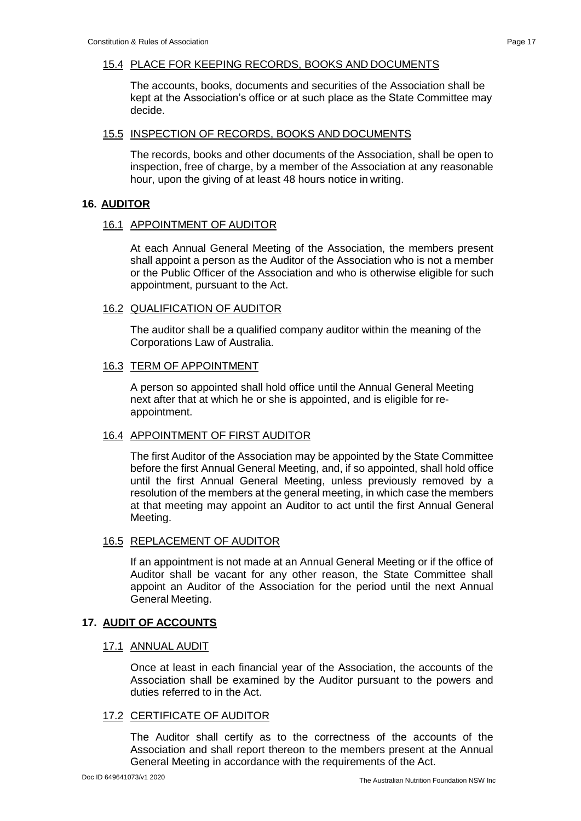# 15.4 PLACE FOR KEEPING RECORDS, BOOKS AND DOCUMENTS

The accounts, books, documents and securities of the Association shall be kept at the Association's office or at such place as the State Committee may decide.

# 15.5 INSPECTION OF RECORDS, BOOKS AND DOCUMENTS

The records, books and other documents of the Association, shall be open to inspection, free of charge, by a member of the Association at any reasonable hour, upon the giving of at least 48 hours notice in writing.

#### **16. AUDITOR**

#### 16.1 APPOINTMENT OF AUDITOR

At each Annual General Meeting of the Association, the members present shall appoint a person as the Auditor of the Association who is not a member or the Public Officer of the Association and who is otherwise eligible for such appointment, pursuant to the Act.

#### 16.2 QUALIFICATION OF AUDITOR

The auditor shall be a qualified company auditor within the meaning of the Corporations Law of Australia.

#### 16.3 TERM OF APPOINTMENT

A person so appointed shall hold office until the Annual General Meeting next after that at which he or she is appointed, and is eligible for reappointment.

#### 16.4 APPOINTMENT OF FIRST AUDITOR

The first Auditor of the Association may be appointed by the State Committee before the first Annual General Meeting, and, if so appointed, shall hold office until the first Annual General Meeting, unless previously removed by a resolution of the members at the general meeting, in which case the members at that meeting may appoint an Auditor to act until the first Annual General Meeting.

# 16.5 REPLACEMENT OF AUDITOR

If an appointment is not made at an Annual General Meeting or if the office of Auditor shall be vacant for any other reason, the State Committee shall appoint an Auditor of the Association for the period until the next Annual General Meeting.

#### **17. AUDIT OF ACCOUNTS**

#### 17.1 ANNUAL AUDIT

Once at least in each financial year of the Association, the accounts of the Association shall be examined by the Auditor pursuant to the powers and duties referred to in the Act.

#### 17.2 CERTIFICATE OF AUDITOR

The Auditor shall certify as to the correctness of the accounts of the Association and shall report thereon to the members present at the Annual General Meeting in accordance with the requirements of the Act.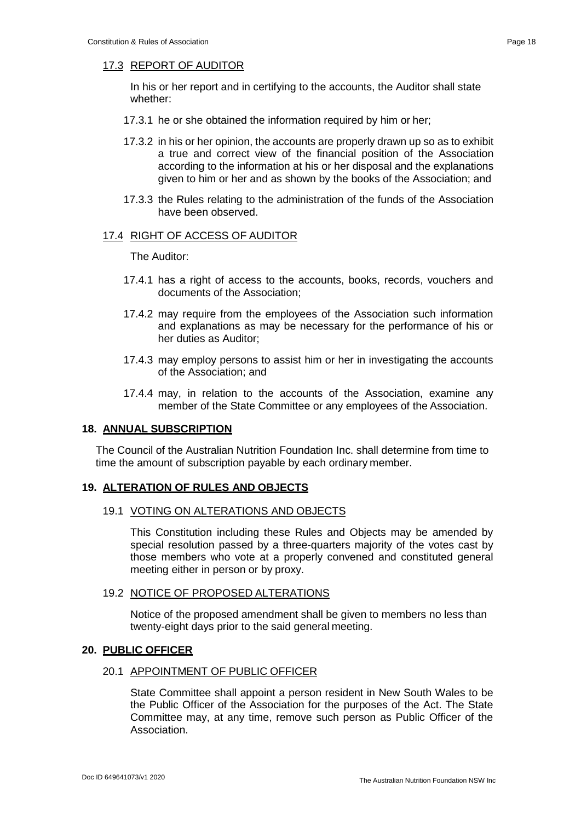# 17.3 REPORT OF AUDITOR

In his or her report and in certifying to the accounts, the Auditor shall state whether:

- 17.3.1 he or she obtained the information required by him or her;
- 17.3.2 in his or her opinion, the accounts are properly drawn up so as to exhibit a true and correct view of the financial position of the Association according to the information at his or her disposal and the explanations given to him or her and as shown by the books of the Association; and
- 17.3.3 the Rules relating to the administration of the funds of the Association have been observed.

#### 17.4 RIGHT OF ACCESS OF AUDITOR

The Auditor:

- 17.4.1 has a right of access to the accounts, books, records, vouchers and documents of the Association;
- 17.4.2 may require from the employees of the Association such information and explanations as may be necessary for the performance of his or her duties as Auditor;
- 17.4.3 may employ persons to assist him or her in investigating the accounts of the Association; and
- 17.4.4 may, in relation to the accounts of the Association, examine any member of the State Committee or any employees of the Association.

#### **18. ANNUAL SUBSCRIPTION**

The Council of the Australian Nutrition Foundation Inc. shall determine from time to time the amount of subscription payable by each ordinary member.

#### **19. ALTERATION OF RULES AND OBJECTS**

#### 19.1 VOTING ON ALTERATIONS AND OBJECTS

This Constitution including these Rules and Objects may be amended by special resolution passed by a three-quarters majority of the votes cast by those members who vote at a properly convened and constituted general meeting either in person or by proxy.

#### 19.2 NOTICE OF PROPOSED ALTERATIONS

Notice of the proposed amendment shall be given to members no less than twenty-eight days prior to the said general meeting.

#### **20. PUBLIC OFFICER**

#### 20.1 APPOINTMENT OF PUBLIC OFFICER

State Committee shall appoint a person resident in New South Wales to be the Public Officer of the Association for the purposes of the Act. The State Committee may, at any time, remove such person as Public Officer of the Association.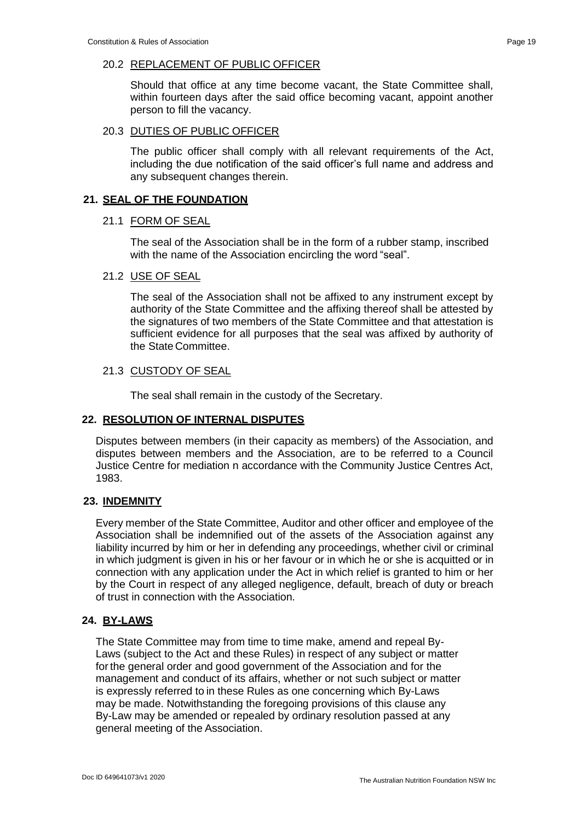# 20.2 REPLACEMENT OF PUBLIC OFFICER

Should that office at any time become vacant, the State Committee shall, within fourteen days after the said office becoming vacant, appoint another person to fill the vacancy.

#### 20.3 DUTIES OF PUBLIC OFFICER

The public officer shall comply with all relevant requirements of the Act, including the due notification of the said officer's full name and address and any subsequent changes therein.

# **21. SEAL OF THE FOUNDATION**

# 21.1 FORM OF SEAL

The seal of the Association shall be in the form of a rubber stamp, inscribed with the name of the Association encircling the word "seal".

# 21.2 USE OF SEAL

The seal of the Association shall not be affixed to any instrument except by authority of the State Committee and the affixing thereof shall be attested by the signatures of two members of the State Committee and that attestation is sufficient evidence for all purposes that the seal was affixed by authority of the State Committee.

# 21.3 CUSTODY OF SEAL

The seal shall remain in the custody of the Secretary.

#### **22. RESOLUTION OF INTERNAL DISPUTES**

Disputes between members (in their capacity as members) of the Association, and disputes between members and the Association, are to be referred to a Council Justice Centre for mediation n accordance with the Community Justice Centres Act, 1983.

# **23. INDEMNITY**

Every member of the State Committee, Auditor and other officer and employee of the Association shall be indemnified out of the assets of the Association against any liability incurred by him or her in defending any proceedings, whether civil or criminal in which judgment is given in his or her favour or in which he or she is acquitted or in connection with any application under the Act in which relief is granted to him or her by the Court in respect of any alleged negligence, default, breach of duty or breach of trust in connection with the Association.

# **24. BY-LAWS**

The State Committee may from time to time make, amend and repeal By-Laws (subject to the Act and these Rules) in respect of any subject or matter forthe general order and good government of the Association and for the management and conduct of its affairs, whether or not such subject or matter is expressly referred to in these Rules as one concerning which By-Laws may be made. Notwithstanding the foregoing provisions of this clause any By-Law may be amended or repealed by ordinary resolution passed at any general meeting of the Association.